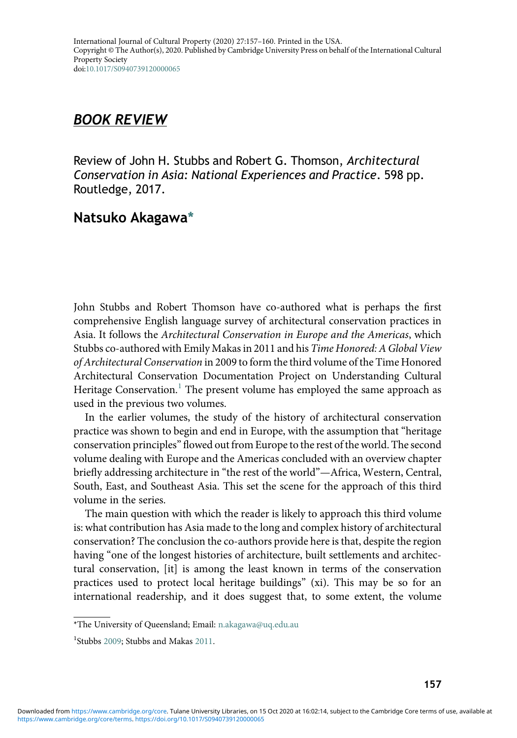## BOOK REVIEW

Review of John H. Stubbs and Robert G. Thomson, Architectural Conservation in Asia: National Experiences and Practice. 598 pp. Routledge, 2017.

## national akagawa

John Stubbs and Robert Thomson have co-authored what is perhaps the first comprehensive English language survey of architectural conservation practices in Asia. It follows the Architectural Conservation in Europe and the Americas, which Stubbs co-authored with Emily Makas in 2011 and his Time Honored: A Global View of Architectural Conservation in 2009 to form the third volume of the Time Honored Architectural Conservation Documentation Project on Understanding Cultural Heritage Conservation.<sup>1</sup> The present volume has employed the same approach as used in the previous two volumes.

In the earlier volumes, the study of the history of architectural conservation practice was shown to begin and end in Europe, with the assumption that "heritage conservation principles" flowed out from Europe to the rest of the world. The second volume dealing with Europe and the Americas concluded with an overview chapter briefly addressing architecture in "the rest of the world"—Africa, Western, Central, South, East, and Southeast Asia. This set the scene for the approach of this third volume in the series.

The main question with which the reader is likely to approach this third volume is: what contribution has Asia made to the long and complex history of architectural conservation? The conclusion the co-authors provide here is that, despite the region having "one of the longest histories of architecture, built settlements and architectural conservation, [it] is among the least known in terms of the conservation practices used to protect local heritage buildings" (xi). This may be so for an international readership, and it does suggest that, to some extent, the volume

<sup>\*</sup>The University of Queensland; Email: [n.akagawa@uq.edu.au](mailto:n.akagawa@uq.edu.au)

<sup>&</sup>lt;sup>1</sup>Stubbs [2009](#page-3-0); Stubbs and Makas [2011](#page-3-0).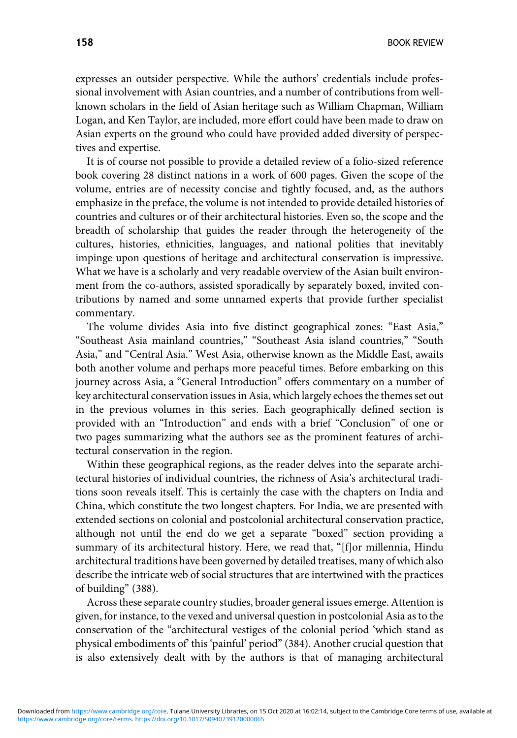expresses an outsider perspective. While the authors' credentials include professional involvement with Asian countries, and a number of contributions from wellknown scholars in the field of Asian heritage such as William Chapman, William Logan, and Ken Taylor, are included, more effort could have been made to draw on Asian experts on the ground who could have provided added diversity of perspectives and expertise.

It is of course not possible to provide a detailed review of a folio-sized reference book covering 28 distinct nations in a work of 600 pages. Given the scope of the volume, entries are of necessity concise and tightly focused, and, as the authors emphasize in the preface, the volume is not intended to provide detailed histories of countries and cultures or of their architectural histories. Even so, the scope and the breadth of scholarship that guides the reader through the heterogeneity of the cultures, histories, ethnicities, languages, and national polities that inevitably impinge upon questions of heritage and architectural conservation is impressive. What we have is a scholarly and very readable overview of the Asian built environment from the co-authors, assisted sporadically by separately boxed, invited contributions by named and some unnamed experts that provide further specialist commentary.

The volume divides Asia into five distinct geographical zones: "East Asia," "Southeast Asia mainland countries," "Southeast Asia island countries," "South Asia," and "Central Asia." West Asia, otherwise known as the Middle East, awaits both another volume and perhaps more peaceful times. Before embarking on this journey across Asia, a "General Introduction" offers commentary on a number of key architectural conservation issues in Asia, which largely echoes the themes set out in the previous volumes in this series. Each geographically defined section is provided with an "Introduction" and ends with a brief "Conclusion" of one or two pages summarizing what the authors see as the prominent features of architectural conservation in the region.

Within these geographical regions, as the reader delves into the separate architectural histories of individual countries, the richness of Asia's architectural traditions soon reveals itself. This is certainly the case with the chapters on India and China, which constitute the two longest chapters. For India, we are presented with extended sections on colonial and postcolonial architectural conservation practice, although not until the end do we get a separate "boxed" section providing a summary of its architectural history. Here, we read that, "[f]or millennia, Hindu architectural traditions have been governed by detailed treatises, many of which also describe the intricate web of social structures that are intertwined with the practices of building" (388).

Across these separate country studies, broader general issues emerge. Attention is given, for instance, to the vexed and universal question in postcolonial Asia as to the conservation of the "architectural vestiges of the colonial period 'which stand as physical embodiments of' this 'painful' period" (384). Another crucial question that is also extensively dealt with by the authors is that of managing architectural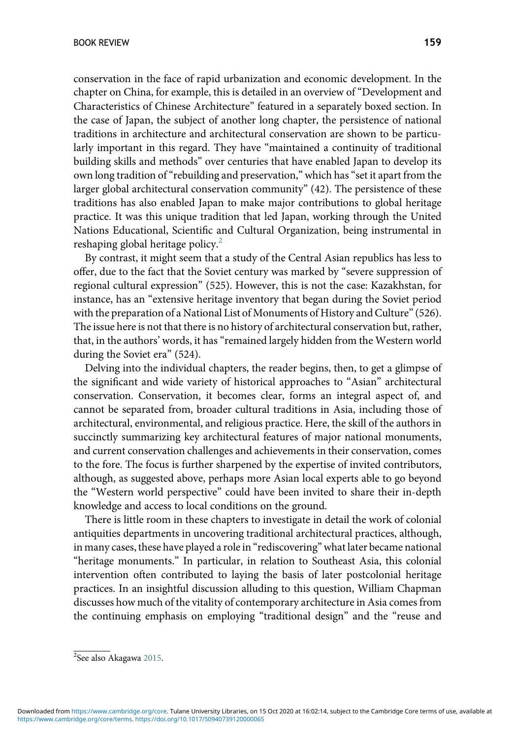conservation in the face of rapid urbanization and economic development. In the chapter on China, for example, this is detailed in an overview of "Development and Characteristics of Chinese Architecture" featured in a separately boxed section. In the case of Japan, the subject of another long chapter, the persistence of national traditions in architecture and architectural conservation are shown to be particularly important in this regard. They have "maintained a continuity of traditional building skills and methods" over centuries that have enabled Japan to develop its own long tradition of"rebuilding and preservation," which has"set it apart from the larger global architectural conservation community" (42). The persistence of these traditions has also enabled Japan to make major contributions to global heritage practice. It was this unique tradition that led Japan, working through the United Nations Educational, Scientific and Cultural Organization, being instrumental in reshaping global heritage policy.<sup>2</sup>

By contrast, it might seem that a study of the Central Asian republics has less to offer, due to the fact that the Soviet century was marked by "severe suppression of regional cultural expression" (525). However, this is not the case: Kazakhstan, for instance, has an "extensive heritage inventory that began during the Soviet period with the preparation of a National List of Monuments of History and Culture"(526). The issue here is not that there is no history of architectural conservation but, rather, that, in the authors' words, it has "remained largely hidden from the Western world during the Soviet era" (524).

Delving into the individual chapters, the reader begins, then, to get a glimpse of the significant and wide variety of historical approaches to "Asian" architectural conservation. Conservation, it becomes clear, forms an integral aspect of, and cannot be separated from, broader cultural traditions in Asia, including those of architectural, environmental, and religious practice. Here, the skill of the authors in succinctly summarizing key architectural features of major national monuments, and current conservation challenges and achievements in their conservation, comes to the fore. The focus is further sharpened by the expertise of invited contributors, although, as suggested above, perhaps more Asian local experts able to go beyond the "Western world perspective" could have been invited to share their in-depth knowledge and access to local conditions on the ground.

There is little room in these chapters to investigate in detail the work of colonial antiquities departments in uncovering traditional architectural practices, although, in many cases, these have played a role in "rediscovering"what later became national "heritage monuments." In particular, in relation to Southeast Asia, this colonial intervention often contributed to laying the basis of later postcolonial heritage practices. In an insightful discussion alluding to this question, William Chapman discusses how much of the vitality of contemporary architecture in Asia comes from the continuing emphasis on employing "traditional design" and the "reuse and

<sup>&</sup>lt;sup>2</sup>See also Akagawa [2015](#page-3-0).